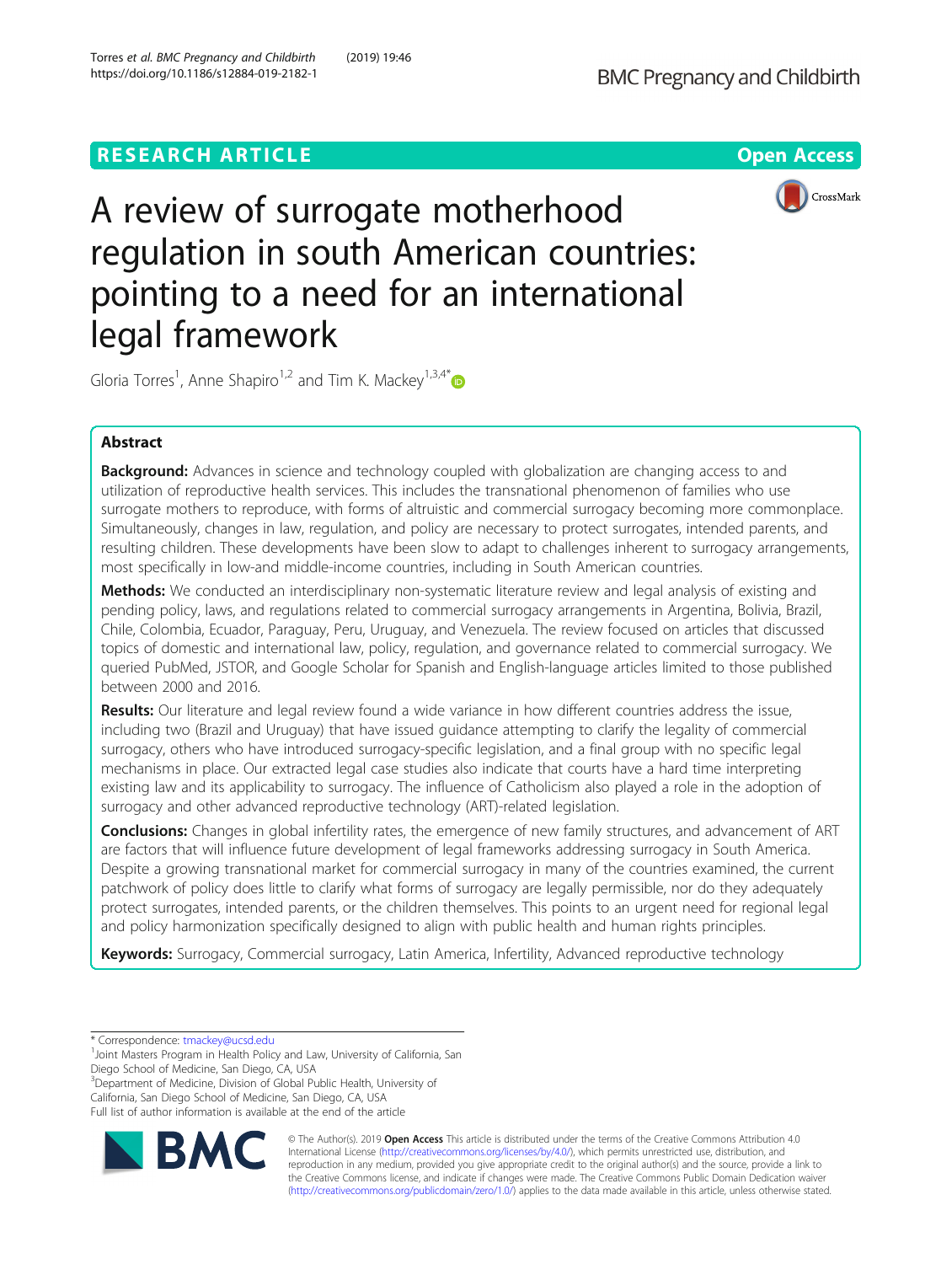# **RESEARCH ARTICLE Example 2018 12:30 THE Open Access**





A review of surrogate motherhood regulation in south American countries: pointing to a need for an international legal framework

Gloria Torres<sup>1</sup>, Anne Shapiro<sup>1,2</sup> and Tim K. Mackey<sup>1,3,4[\\*](http://orcid.org/0000-0002-2191-7833)</sup>

# Abstract

**Background:** Advances in science and technology coupled with globalization are changing access to and utilization of reproductive health services. This includes the transnational phenomenon of families who use surrogate mothers to reproduce, with forms of altruistic and commercial surrogacy becoming more commonplace. Simultaneously, changes in law, regulation, and policy are necessary to protect surrogates, intended parents, and resulting children. These developments have been slow to adapt to challenges inherent to surrogacy arrangements, most specifically in low-and middle-income countries, including in South American countries.

Methods: We conducted an interdisciplinary non-systematic literature review and legal analysis of existing and pending policy, laws, and regulations related to commercial surrogacy arrangements in Argentina, Bolivia, Brazil, Chile, Colombia, Ecuador, Paraguay, Peru, Uruguay, and Venezuela. The review focused on articles that discussed topics of domestic and international law, policy, regulation, and governance related to commercial surrogacy. We queried PubMed, JSTOR, and Google Scholar for Spanish and English-language articles limited to those published between 2000 and 2016.

**Results:** Our literature and legal review found a wide variance in how different countries address the issue, including two (Brazil and Uruguay) that have issued guidance attempting to clarify the legality of commercial surrogacy, others who have introduced surrogacy-specific legislation, and a final group with no specific legal mechanisms in place. Our extracted legal case studies also indicate that courts have a hard time interpreting existing law and its applicability to surrogacy. The influence of Catholicism also played a role in the adoption of surrogacy and other advanced reproductive technology (ART)-related legislation.

Conclusions: Changes in global infertility rates, the emergence of new family structures, and advancement of ART are factors that will influence future development of legal frameworks addressing surrogacy in South America. Despite a growing transnational market for commercial surrogacy in many of the countries examined, the current patchwork of policy does little to clarify what forms of surrogacy are legally permissible, nor do they adequately protect surrogates, intended parents, or the children themselves. This points to an urgent need for regional legal and policy harmonization specifically designed to align with public health and human rights principles.

Keywords: Surrogacy, Commercial surrogacy, Latin America, Infertility, Advanced reproductive technology

<sup>3</sup>Department of Medicine, Division of Global Public Health, University of California, San Diego School of Medicine, San Diego, CA, USA Full list of author information is available at the end of the article



© The Author(s). 2019 Open Access This article is distributed under the terms of the Creative Commons Attribution 4.0 International License [\(http://creativecommons.org/licenses/by/4.0/](http://creativecommons.org/licenses/by/4.0/)), which permits unrestricted use, distribution, and reproduction in any medium, provided you give appropriate credit to the original author(s) and the source, provide a link to the Creative Commons license, and indicate if changes were made. The Creative Commons Public Domain Dedication waiver [\(http://creativecommons.org/publicdomain/zero/1.0/](http://creativecommons.org/publicdomain/zero/1.0/)) applies to the data made available in this article, unless otherwise stated.

<sup>\*</sup> Correspondence: [tmackey@ucsd.edu](mailto:tmackey@ucsd.edu) <sup>1</sup>

<sup>&</sup>lt;sup>1</sup> Joint Masters Program in Health Policy and Law, University of California, San Diego School of Medicine, San Diego, CA, USA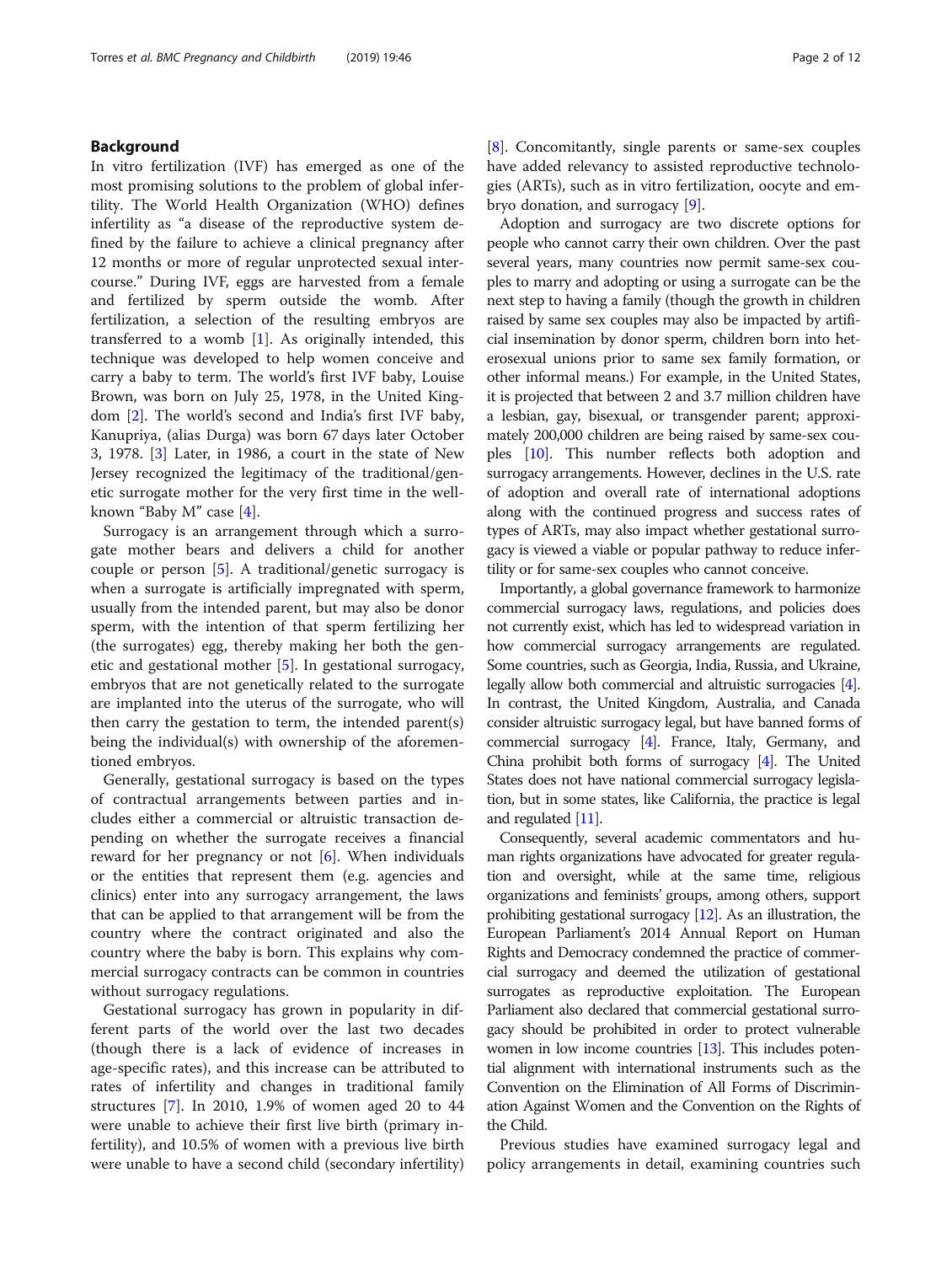# Background

In vitro fertilization (IVF) has emerged as one of the most promising solutions to the problem of global infertility. The World Health Organization (WHO) defines infertility as "a disease of the reproductive system defined by the failure to achieve a clinical pregnancy after 12 months or more of regular unprotected sexual intercourse." During IVF, eggs are harvested from a female and fertilized by sperm outside the womb. After fertilization, a selection of the resulting embryos are transferred to a womb  $[1]$  $[1]$ . As originally intended, this technique was developed to help women conceive and carry a baby to term. The world's first IVF baby, Louise Brown, was born on July 25, 1978, in the United Kingdom [\[2](#page-9-0)]. The world's second and India's first IVF baby, Kanupriya, (alias Durga) was born 67 days later October 3, 1978. [[3\]](#page-10-0) Later, in 1986, a court in the state of New Jersey recognized the legitimacy of the traditional/genetic surrogate mother for the very first time in the wellknown "Baby M" case [[4](#page-10-0)].

Surrogacy is an arrangement through which a surrogate mother bears and delivers a child for another couple or person [[5\]](#page-10-0). A traditional/genetic surrogacy is when a surrogate is artificially impregnated with sperm, usually from the intended parent, but may also be donor sperm, with the intention of that sperm fertilizing her (the surrogates) egg, thereby making her both the genetic and gestational mother [\[5](#page-10-0)]. In gestational surrogacy, embryos that are not genetically related to the surrogate are implanted into the uterus of the surrogate, who will then carry the gestation to term, the intended parent(s) being the individual(s) with ownership of the aforementioned embryos.

Generally, gestational surrogacy is based on the types of contractual arrangements between parties and includes either a commercial or altruistic transaction depending on whether the surrogate receives a financial reward for her pregnancy or not  $[6]$  $[6]$ . When individuals or the entities that represent them (e.g. agencies and clinics) enter into any surrogacy arrangement, the laws that can be applied to that arrangement will be from the country where the contract originated and also the country where the baby is born. This explains why commercial surrogacy contracts can be common in countries without surrogacy regulations.

Gestational surrogacy has grown in popularity in different parts of the world over the last two decades (though there is a lack of evidence of increases in age-specific rates), and this increase can be attributed to rates of infertility and changes in traditional family structures [\[7](#page-10-0)]. In 2010, 1.9% of women aged 20 to 44 were unable to achieve their first live birth (primary infertility), and 10.5% of women with a previous live birth were unable to have a second child (secondary infertility) [[8\]](#page-10-0). Concomitantly, single parents or same-sex couples have added relevancy to assisted reproductive technologies (ARTs), such as in vitro fertilization, oocyte and embryo donation, and surrogacy [\[9\]](#page-10-0).

Adoption and surrogacy are two discrete options for people who cannot carry their own children. Over the past several years, many countries now permit same-sex couples to marry and adopting or using a surrogate can be the next step to having a family (though the growth in children raised by same sex couples may also be impacted by artificial insemination by donor sperm, children born into heterosexual unions prior to same sex family formation, or other informal means.) For example, in the United States, it is projected that between 2 and 3.7 million children have a lesbian, gay, bisexual, or transgender parent; approximately 200,000 children are being raised by same-sex couples [\[10\]](#page-10-0). This number reflects both adoption and surrogacy arrangements. However, declines in the U.S. rate of adoption and overall rate of international adoptions along with the continued progress and success rates of types of ARTs, may also impact whether gestational surrogacy is viewed a viable or popular pathway to reduce infertility or for same-sex couples who cannot conceive.

Importantly, a global governance framework to harmonize commercial surrogacy laws, regulations, and policies does not currently exist, which has led to widespread variation in how commercial surrogacy arrangements are regulated. Some countries, such as Georgia, India, Russia, and Ukraine, legally allow both commercial and altruistic surrogacies [\[4](#page-10-0)]. In contrast, the United Kingdom, Australia, and Canada consider altruistic surrogacy legal, but have banned forms of commercial surrogacy [[4](#page-10-0)]. France, Italy, Germany, and China prohibit both forms of surrogacy [\[4](#page-10-0)]. The United States does not have national commercial surrogacy legislation, but in some states, like California, the practice is legal and regulated [\[11](#page-10-0)].

Consequently, several academic commentators and human rights organizations have advocated for greater regulation and oversight, while at the same time, religious organizations and feminists' groups, among others, support prohibiting gestational surrogacy [\[12\]](#page-10-0). As an illustration, the European Parliament's 2014 Annual Report on Human Rights and Democracy condemned the practice of commercial surrogacy and deemed the utilization of gestational surrogates as reproductive exploitation. The European Parliament also declared that commercial gestational surrogacy should be prohibited in order to protect vulnerable women in low income countries [\[13\]](#page-10-0). This includes potential alignment with international instruments such as the Convention on the Elimination of All Forms of Discrimination Against Women and the Convention on the Rights of the Child.

Previous studies have examined surrogacy legal and policy arrangements in detail, examining countries such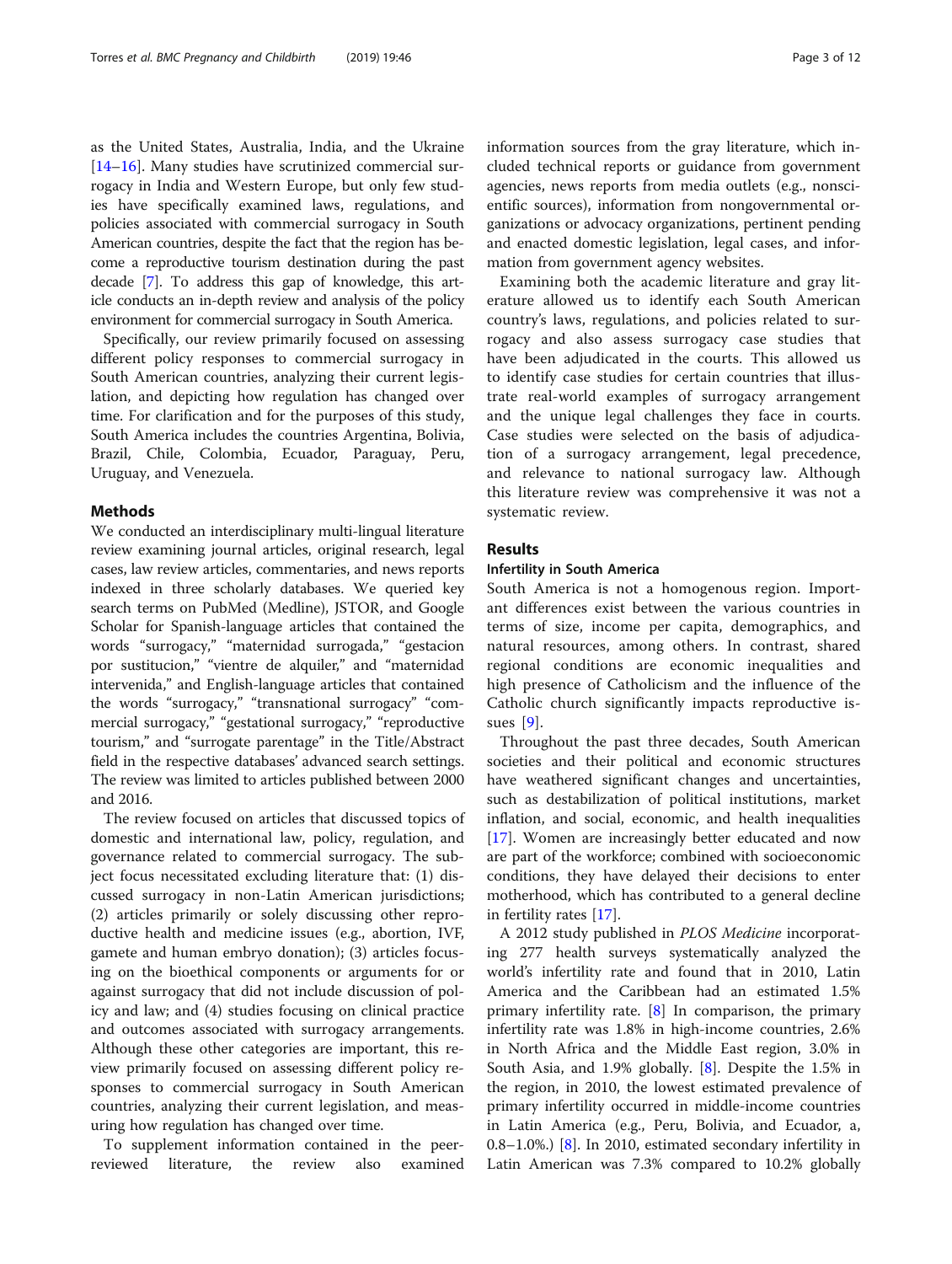as the United States, Australia, India, and the Ukraine [[14](#page-10-0)–[16](#page-10-0)]. Many studies have scrutinized commercial surrogacy in India and Western Europe, but only few studies have specifically examined laws, regulations, and policies associated with commercial surrogacy in South American countries, despite the fact that the region has become a reproductive tourism destination during the past decade [[7\]](#page-10-0). To address this gap of knowledge, this article conducts an in-depth review and analysis of the policy environment for commercial surrogacy in South America.

Specifically, our review primarily focused on assessing different policy responses to commercial surrogacy in South American countries, analyzing their current legislation, and depicting how regulation has changed over time. For clarification and for the purposes of this study, South America includes the countries Argentina, Bolivia, Brazil, Chile, Colombia, Ecuador, Paraguay, Peru, Uruguay, and Venezuela.

### Methods

We conducted an interdisciplinary multi-lingual literature review examining journal articles, original research, legal cases, law review articles, commentaries, and news reports indexed in three scholarly databases. We queried key search terms on PubMed (Medline), JSTOR, and Google Scholar for Spanish-language articles that contained the words "surrogacy," "maternidad surrogada," "gestacion por sustitucion," "vientre de alquiler," and "maternidad intervenida," and English-language articles that contained the words "surrogacy," "transnational surrogacy" "commercial surrogacy," "gestational surrogacy," "reproductive tourism," and "surrogate parentage" in the Title/Abstract field in the respective databases' advanced search settings. The review was limited to articles published between 2000 and 2016.

The review focused on articles that discussed topics of domestic and international law, policy, regulation, and governance related to commercial surrogacy. The subject focus necessitated excluding literature that: (1) discussed surrogacy in non-Latin American jurisdictions; (2) articles primarily or solely discussing other reproductive health and medicine issues (e.g., abortion, IVF, gamete and human embryo donation); (3) articles focusing on the bioethical components or arguments for or against surrogacy that did not include discussion of policy and law; and (4) studies focusing on clinical practice and outcomes associated with surrogacy arrangements. Although these other categories are important, this review primarily focused on assessing different policy responses to commercial surrogacy in South American countries, analyzing their current legislation, and measuring how regulation has changed over time.

To supplement information contained in the peerreviewed literature, the review also examined information sources from the gray literature, which included technical reports or guidance from government agencies, news reports from media outlets (e.g., nonscientific sources), information from nongovernmental organizations or advocacy organizations, pertinent pending and enacted domestic legislation, legal cases, and information from government agency websites.

Examining both the academic literature and gray literature allowed us to identify each South American country's laws, regulations, and policies related to surrogacy and also assess surrogacy case studies that have been adjudicated in the courts. This allowed us to identify case studies for certain countries that illustrate real-world examples of surrogacy arrangement and the unique legal challenges they face in courts. Case studies were selected on the basis of adjudication of a surrogacy arrangement, legal precedence, and relevance to national surrogacy law. Although this literature review was comprehensive it was not a systematic review.

# Results

### Infertility in South America

South America is not a homogenous region. Important differences exist between the various countries in terms of size, income per capita, demographics, and natural resources, among others. In contrast, shared regional conditions are economic inequalities and high presence of Catholicism and the influence of the Catholic church significantly impacts reproductive issues [[9\]](#page-10-0).

Throughout the past three decades, South American societies and their political and economic structures have weathered significant changes and uncertainties, such as destabilization of political institutions, market inflation, and social, economic, and health inequalities [[17\]](#page-10-0). Women are increasingly better educated and now are part of the workforce; combined with socioeconomic conditions, they have delayed their decisions to enter motherhood, which has contributed to a general decline in fertility rates [\[17](#page-10-0)].

A 2012 study published in PLOS Medicine incorporating 277 health surveys systematically analyzed the world's infertility rate and found that in 2010, Latin America and the Caribbean had an estimated 1.5% primary infertility rate. [[8\]](#page-10-0) In comparison, the primary infertility rate was 1.8% in high-income countries, 2.6% in North Africa and the Middle East region, 3.0% in South Asia, and 1.9% globally. [[8\]](#page-10-0). Despite the 1.5% in the region, in 2010, the lowest estimated prevalence of primary infertility occurred in middle-income countries in Latin America (e.g., Peru, Bolivia, and Ecuador, a, 0.8–1.0%.) [\[8](#page-10-0)]. In 2010, estimated secondary infertility in Latin American was 7.3% compared to 10.2% globally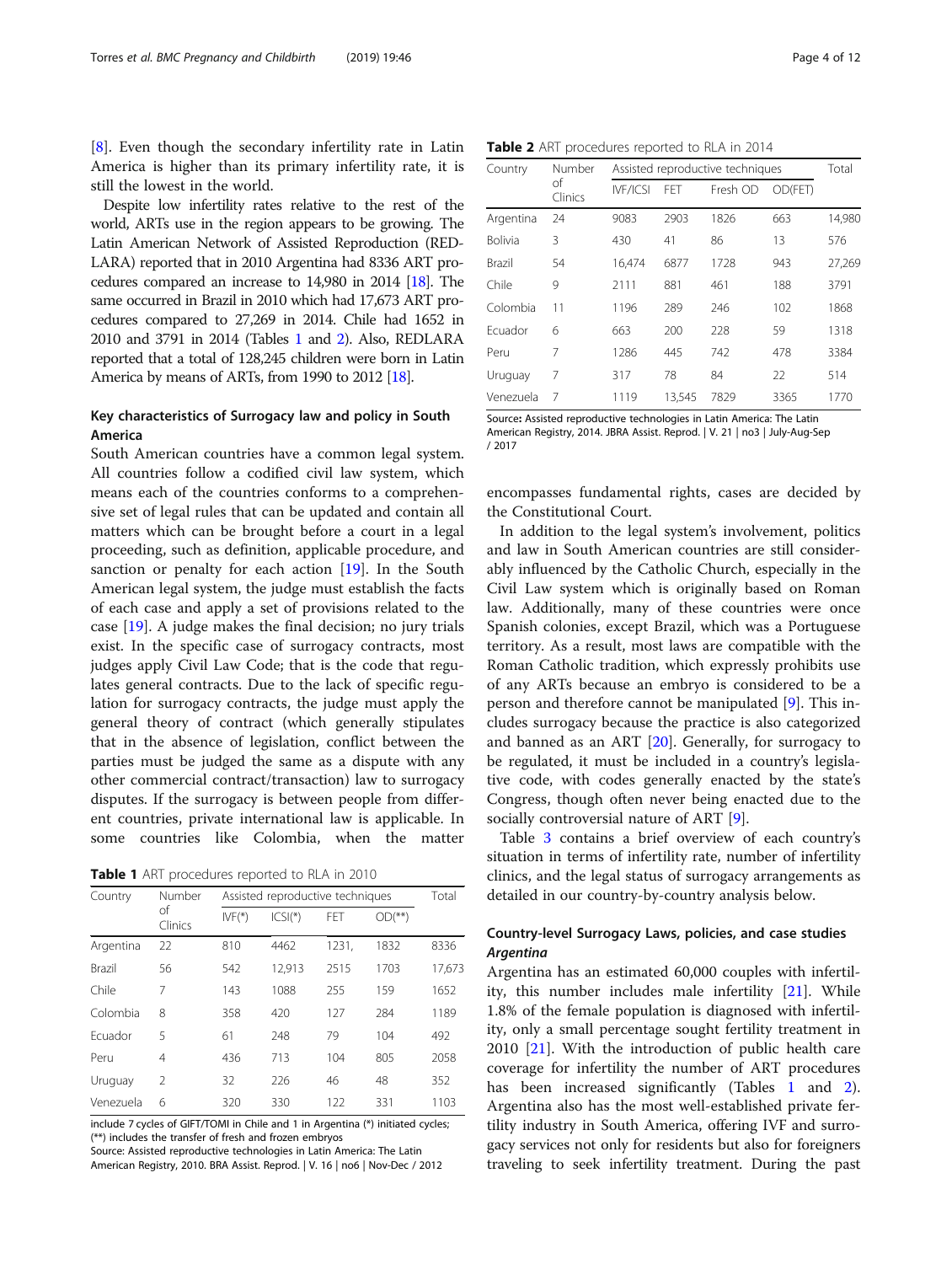[[8\]](#page-10-0). Even though the secondary infertility rate in Latin America is higher than its primary infertility rate, it is still the lowest in the world.

Despite low infertility rates relative to the rest of the world, ARTs use in the region appears to be growing. The Latin American Network of Assisted Reproduction (RED-LARA) reported that in 2010 Argentina had 8336 ART procedures compared an increase to 14,980 in 2014 [\[18](#page-10-0)]. The same occurred in Brazil in 2010 which had 17,673 ART procedures compared to 27,269 in 2014. Chile had 1652 in 2010 and 3791 in 2014 (Tables 1 and 2). Also, REDLARA reported that a total of 128,245 children were born in Latin America by means of ARTs, from 1990 to 2012 [\[18](#page-10-0)].

# Key characteristics of Surrogacy law and policy in South America

South American countries have a common legal system. All countries follow a codified civil law system, which means each of the countries conforms to a comprehensive set of legal rules that can be updated and contain all matters which can be brought before a court in a legal proceeding, such as definition, applicable procedure, and sanction or penalty for each action [[19\]](#page-10-0). In the South American legal system, the judge must establish the facts of each case and apply a set of provisions related to the case [\[19\]](#page-10-0). A judge makes the final decision; no jury trials exist. In the specific case of surrogacy contracts, most judges apply Civil Law Code; that is the code that regulates general contracts. Due to the lack of specific regulation for surrogacy contracts, the judge must apply the general theory of contract (which generally stipulates that in the absence of legislation, conflict between the parties must be judged the same as a dispute with any other commercial contract/transaction) law to surrogacy disputes. If the surrogacy is between people from different countries, private international law is applicable. In some countries like Colombia, when the matter

Table 1 ART procedures reported to RLA in 2010

| Country       | Number<br>of<br>Clinics | Assisted reproductive techniques |           |       |          | Total  |
|---------------|-------------------------|----------------------------------|-----------|-------|----------|--------|
|               |                         | $IVF(*)$                         | $ CS (*)$ | FET   | $OD(**)$ |        |
| Argentina     | 22                      | 810                              | 4462      | 1231, | 1832     | 8336   |
| <b>Brazil</b> | 56                      | 542                              | 12,913    | 2515  | 1703     | 17,673 |
| Chile         | 7                       | 143                              | 1088      | 255   | 159      | 1652   |
| Colombia      | 8                       | 358                              | 420       | 127   | 284      | 1189   |
| Fcuador       | 5                       | 61                               | 248       | 79    | 104      | 492    |
| Peru          | 4                       | 436                              | 713       | 104   | 805      | 2058   |
| Uruguay       | $\mathfrak{D}$          | 32                               | 226       | 46    | 48       | 352    |
| Venezuela     | 6                       | 320                              | 330       | 122   | 331      | 1103   |

include 7 cycles of GIFT/TOMI in Chile and 1 in Argentina (\*) initiated cycles; (\*\*) includes the transfer of fresh and frozen embryos

Source: Assisted reproductive technologies in Latin America: The Latin American Registry, 2010. BRA Assist. Reprod. | V. 16 | no6 | Nov-Dec / 2012

Table 2 ART procedures reported to RLA in 2014

| Country   | Number<br>of<br>Clinics | Assisted reproductive techniques |        |          |         | Total  |
|-----------|-------------------------|----------------------------------|--------|----------|---------|--------|
|           |                         | IVF/ICSI                         | FET.   | Fresh OD | OD(FET) |        |
| Argentina | 24                      | 9083                             | 2903   | 1826     | 663     | 14,980 |
| Bolivia   | 3                       | 430                              | 41     | 86       | 13      | 576    |
| Brazil    | 54                      | 16,474                           | 6877   | 1728     | 943     | 27,269 |
| Chile     | 9                       | 2111                             | 881    | 461      | 188     | 3791   |
| Colombia  | 11                      | 1196                             | 289    | 246      | 102     | 1868   |
| Fcuador   | 6                       | 663                              | 200    | 228      | 59      | 1318   |
| Peru      | 7                       | 1286                             | 445    | 742      | 478     | 3384   |
| Uruguay   | 7                       | 317                              | 78     | 84       | 22      | 514    |
| Venezuela | 7                       | 1119                             | 13,545 | 7829     | 3365    | 1770   |

Source: Assisted reproductive technologies in Latin America: The Latin American Registry, 2014. JBRA Assist. Reprod. | V. 21 | no3 | July-Aug-Sep / 2017

encompasses fundamental rights, cases are decided by the Constitutional Court.

In addition to the legal system's involvement, politics and law in South American countries are still considerably influenced by the Catholic Church, especially in the Civil Law system which is originally based on Roman law. Additionally, many of these countries were once Spanish colonies, except Brazil, which was a Portuguese territory. As a result, most laws are compatible with the Roman Catholic tradition, which expressly prohibits use of any ARTs because an embryo is considered to be a person and therefore cannot be manipulated [[9\]](#page-10-0). This includes surrogacy because the practice is also categorized and banned as an ART [\[20](#page-10-0)]. Generally, for surrogacy to be regulated, it must be included in a country's legislative code, with codes generally enacted by the state's Congress, though often never being enacted due to the socially controversial nature of ART [[9\]](#page-10-0).

Table [3](#page-4-0) contains a brief overview of each country's situation in terms of infertility rate, number of infertility clinics, and the legal status of surrogacy arrangements as detailed in our country-by-country analysis below.

# Country-level Surrogacy Laws, policies, and case studies Argentina

Argentina has an estimated 60,000 couples with infertility, this number includes male infertility [[21\]](#page-10-0). While 1.8% of the female population is diagnosed with infertility, only a small percentage sought fertility treatment in 2010 [[21\]](#page-10-0). With the introduction of public health care coverage for infertility the number of ART procedures has been increased significantly (Tables 1 and 2). Argentina also has the most well-established private fertility industry in South America, offering IVF and surrogacy services not only for residents but also for foreigners traveling to seek infertility treatment. During the past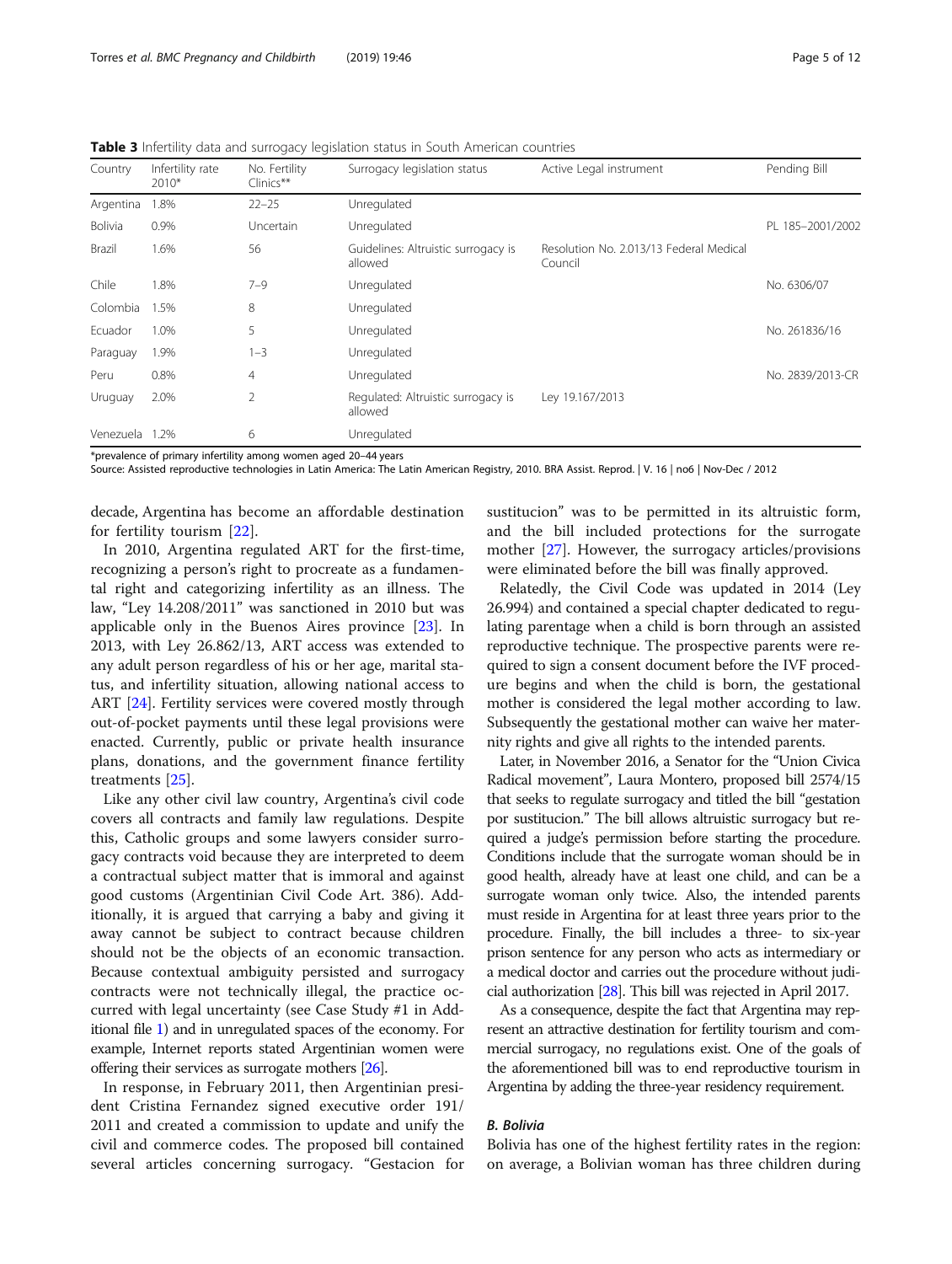<span id="page-4-0"></span>**Table 3** Infertility data and surrogacy legislation status in South American countries

| Country        | Infertility rate<br>$2010*$ | No. Fertility<br>$Clinics**$ | Surrogacy legislation status                                                                         | Active Legal instrument | Pending Bill     |
|----------------|-----------------------------|------------------------------|------------------------------------------------------------------------------------------------------|-------------------------|------------------|
| Argentina      | 1.8%                        | $22 - 25$                    | Unregulated                                                                                          |                         |                  |
| <b>Bolivia</b> | 0.9%                        | Uncertain                    | Unregulated                                                                                          |                         | PL 185-2001/2002 |
| Brazil         | 1.6%                        | 56                           | Resolution No. 2.013/13 Federal Medical<br>Guidelines: Altruistic surrogacy is<br>allowed<br>Council |                         |                  |
| Chile          | 1.8%                        | $7 - 9$                      | Unregulated                                                                                          |                         | No. 6306/07      |
| Colombia       | 1.5%                        | 8                            | Unregulated                                                                                          |                         |                  |
| Ecuador        | 1.0%                        | 5                            | Unregulated                                                                                          |                         | No. 261836/16    |
| Paraguay       | 1.9%                        | $1 - 3$                      | Unregulated                                                                                          |                         |                  |
| Peru           | 0.8%                        | $\overline{4}$               | Unregulated                                                                                          |                         | No. 2839/2013-CR |
| Uruguay        | 2.0%                        | 2                            | Regulated: Altruistic surrogacy is<br>allowed                                                        | Ley 19.167/2013         |                  |
| Venezuela      | 1.2%                        | 6                            | Unregulated                                                                                          |                         |                  |

\*prevalence of primary infertility among women aged 20–44 years

Source: Assisted reproductive technologies in Latin America: The Latin American Registry, 2010. BRA Assist. Reprod. | V. 16 | no6 | Nov-Dec / 2012

decade, Argentina has become an affordable destination for fertility tourism [\[22](#page-10-0)].

In 2010, Argentina regulated ART for the first-time, recognizing a person's right to procreate as a fundamental right and categorizing infertility as an illness. The law, "Ley 14.208/2011" was sanctioned in 2010 but was applicable only in the Buenos Aires province [[23](#page-10-0)]. In 2013, with Ley 26.862/13, ART access was extended to any adult person regardless of his or her age, marital status, and infertility situation, allowing national access to ART [\[24](#page-10-0)]. Fertility services were covered mostly through out-of-pocket payments until these legal provisions were enacted. Currently, public or private health insurance plans, donations, and the government finance fertility treatments [[25\]](#page-10-0).

Like any other civil law country, Argentina's civil code covers all contracts and family law regulations. Despite this, Catholic groups and some lawyers consider surrogacy contracts void because they are interpreted to deem a contractual subject matter that is immoral and against good customs (Argentinian Civil Code Art. 386). Additionally, it is argued that carrying a baby and giving it away cannot be subject to contract because children should not be the objects of an economic transaction. Because contextual ambiguity persisted and surrogacy contracts were not technically illegal, the practice occurred with legal uncertainty (see Case Study #1 in Additional file [1](#page-9-0)) and in unregulated spaces of the economy. For example, Internet reports stated Argentinian women were offering their services as surrogate mothers [\[26\]](#page-10-0).

In response, in February 2011, then Argentinian president Cristina Fernandez signed executive order 191/ 2011 and created a commission to update and unify the civil and commerce codes. The proposed bill contained several articles concerning surrogacy. "Gestacion for sustitucion" was to be permitted in its altruistic form, and the bill included protections for the surrogate mother [[27\]](#page-10-0). However, the surrogacy articles/provisions were eliminated before the bill was finally approved.

Relatedly, the Civil Code was updated in 2014 (Ley 26.994) and contained a special chapter dedicated to regulating parentage when a child is born through an assisted reproductive technique. The prospective parents were required to sign a consent document before the IVF procedure begins and when the child is born, the gestational mother is considered the legal mother according to law. Subsequently the gestational mother can waive her maternity rights and give all rights to the intended parents.

Later, in November 2016, a Senator for the "Union Civica Radical movement", Laura Montero, proposed bill 2574/15 that seeks to regulate surrogacy and titled the bill "gestation por sustitucion." The bill allows altruistic surrogacy but required a judge's permission before starting the procedure. Conditions include that the surrogate woman should be in good health, already have at least one child, and can be a surrogate woman only twice. Also, the intended parents must reside in Argentina for at least three years prior to the procedure. Finally, the bill includes a three- to six-year prison sentence for any person who acts as intermediary or a medical doctor and carries out the procedure without judicial authorization [\[28\]](#page-10-0). This bill was rejected in April 2017.

As a consequence, despite the fact that Argentina may represent an attractive destination for fertility tourism and commercial surrogacy, no regulations exist. One of the goals of the aforementioned bill was to end reproductive tourism in Argentina by adding the three-year residency requirement.

# B. Bolivia

Bolivia has one of the highest fertility rates in the region: on average, a Bolivian woman has three children during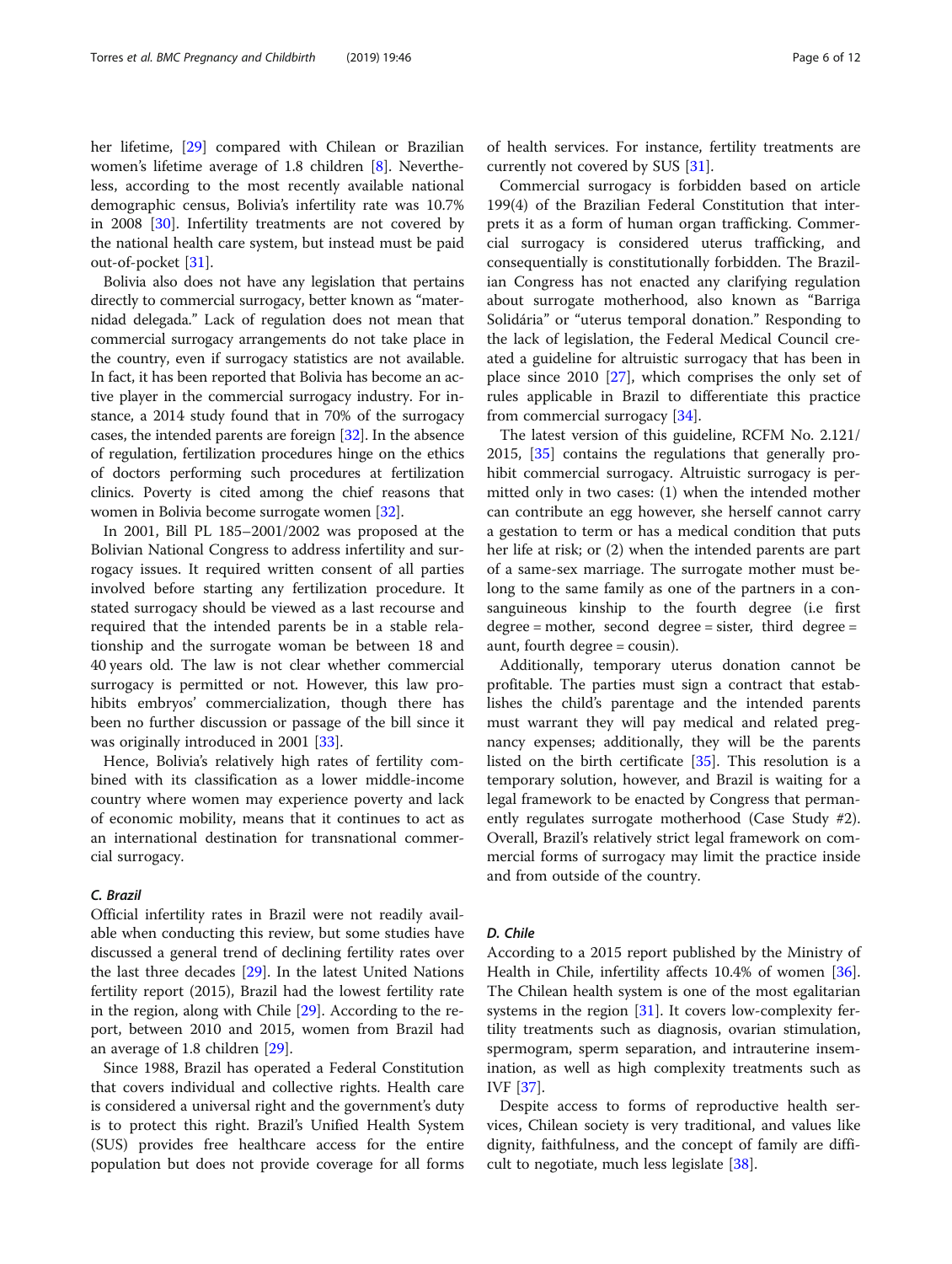her lifetime, [[29\]](#page-10-0) compared with Chilean or Brazilian women's lifetime average of 1.8 children [\[8\]](#page-10-0). Nevertheless, according to the most recently available national demographic census, Bolivia's infertility rate was 10.7% in 2008 [\[30\]](#page-10-0). Infertility treatments are not covered by the national health care system, but instead must be paid out-of-pocket [[31](#page-10-0)].

Bolivia also does not have any legislation that pertains directly to commercial surrogacy, better known as "maternidad delegada." Lack of regulation does not mean that commercial surrogacy arrangements do not take place in the country, even if surrogacy statistics are not available. In fact, it has been reported that Bolivia has become an active player in the commercial surrogacy industry. For instance, a 2014 study found that in 70% of the surrogacy cases, the intended parents are foreign [[32](#page-10-0)]. In the absence of regulation, fertilization procedures hinge on the ethics of doctors performing such procedures at fertilization clinics. Poverty is cited among the chief reasons that women in Bolivia become surrogate women [\[32\]](#page-10-0).

In 2001, Bill PL 185–2001/2002 was proposed at the Bolivian National Congress to address infertility and surrogacy issues. It required written consent of all parties involved before starting any fertilization procedure. It stated surrogacy should be viewed as a last recourse and required that the intended parents be in a stable relationship and the surrogate woman be between 18 and 40 years old. The law is not clear whether commercial surrogacy is permitted or not. However, this law prohibits embryos' commercialization, though there has been no further discussion or passage of the bill since it was originally introduced in 2001 [[33\]](#page-10-0).

Hence, Bolivia's relatively high rates of fertility combined with its classification as a lower middle-income country where women may experience poverty and lack of economic mobility, means that it continues to act as an international destination for transnational commercial surrogacy.

### C. Brazil

Official infertility rates in Brazil were not readily available when conducting this review, but some studies have discussed a general trend of declining fertility rates over the last three decades [\[29](#page-10-0)]. In the latest United Nations fertility report (2015), Brazil had the lowest fertility rate in the region, along with Chile [\[29](#page-10-0)]. According to the report, between 2010 and 2015, women from Brazil had an average of 1.8 children [\[29](#page-10-0)].

Since 1988, Brazil has operated a Federal Constitution that covers individual and collective rights. Health care is considered a universal right and the government's duty is to protect this right. Brazil's Unified Health System (SUS) provides free healthcare access for the entire population but does not provide coverage for all forms currently not covered by SUS [[31\]](#page-10-0). Commercial surrogacy is forbidden based on article 199(4) of the Brazilian Federal Constitution that interprets it as a form of human organ trafficking. Commercial surrogacy is considered uterus trafficking, and consequentially is constitutionally forbidden. The Brazilian Congress has not enacted any clarifying regulation about surrogate motherhood, also known as "Barriga Solidária" or "uterus temporal donation." Responding to the lack of legislation, the Federal Medical Council created a guideline for altruistic surrogacy that has been in place since 2010 [\[27\]](#page-10-0), which comprises the only set of rules applicable in Brazil to differentiate this practice from commercial surrogacy [[34\]](#page-10-0).

The latest version of this guideline, RCFM No. 2.121/ 2015, [\[35](#page-10-0)] contains the regulations that generally prohibit commercial surrogacy. Altruistic surrogacy is permitted only in two cases: (1) when the intended mother can contribute an egg however, she herself cannot carry a gestation to term or has a medical condition that puts her life at risk; or (2) when the intended parents are part of a same-sex marriage. The surrogate mother must belong to the same family as one of the partners in a consanguineous kinship to the fourth degree (i.e first  $degree = mother$ , second  $degree = sister$ , third  $degree =$ aunt, fourth degree = cousin).

Additionally, temporary uterus donation cannot be profitable. The parties must sign a contract that establishes the child's parentage and the intended parents must warrant they will pay medical and related pregnancy expenses; additionally, they will be the parents listed on the birth certificate [\[35](#page-10-0)]. This resolution is a temporary solution, however, and Brazil is waiting for a legal framework to be enacted by Congress that permanently regulates surrogate motherhood (Case Study #2). Overall, Brazil's relatively strict legal framework on commercial forms of surrogacy may limit the practice inside and from outside of the country.

# D. Chile

According to a 2015 report published by the Ministry of Health in Chile, infertility affects 10.4% of women [\[36](#page-10-0)]. The Chilean health system is one of the most egalitarian systems in the region [\[31\]](#page-10-0). It covers low-complexity fertility treatments such as diagnosis, ovarian stimulation, spermogram, sperm separation, and intrauterine insemination, as well as high complexity treatments such as IVF [[37\]](#page-10-0).

Despite access to forms of reproductive health services, Chilean society is very traditional, and values like dignity, faithfulness, and the concept of family are difficult to negotiate, much less legislate [[38\]](#page-10-0).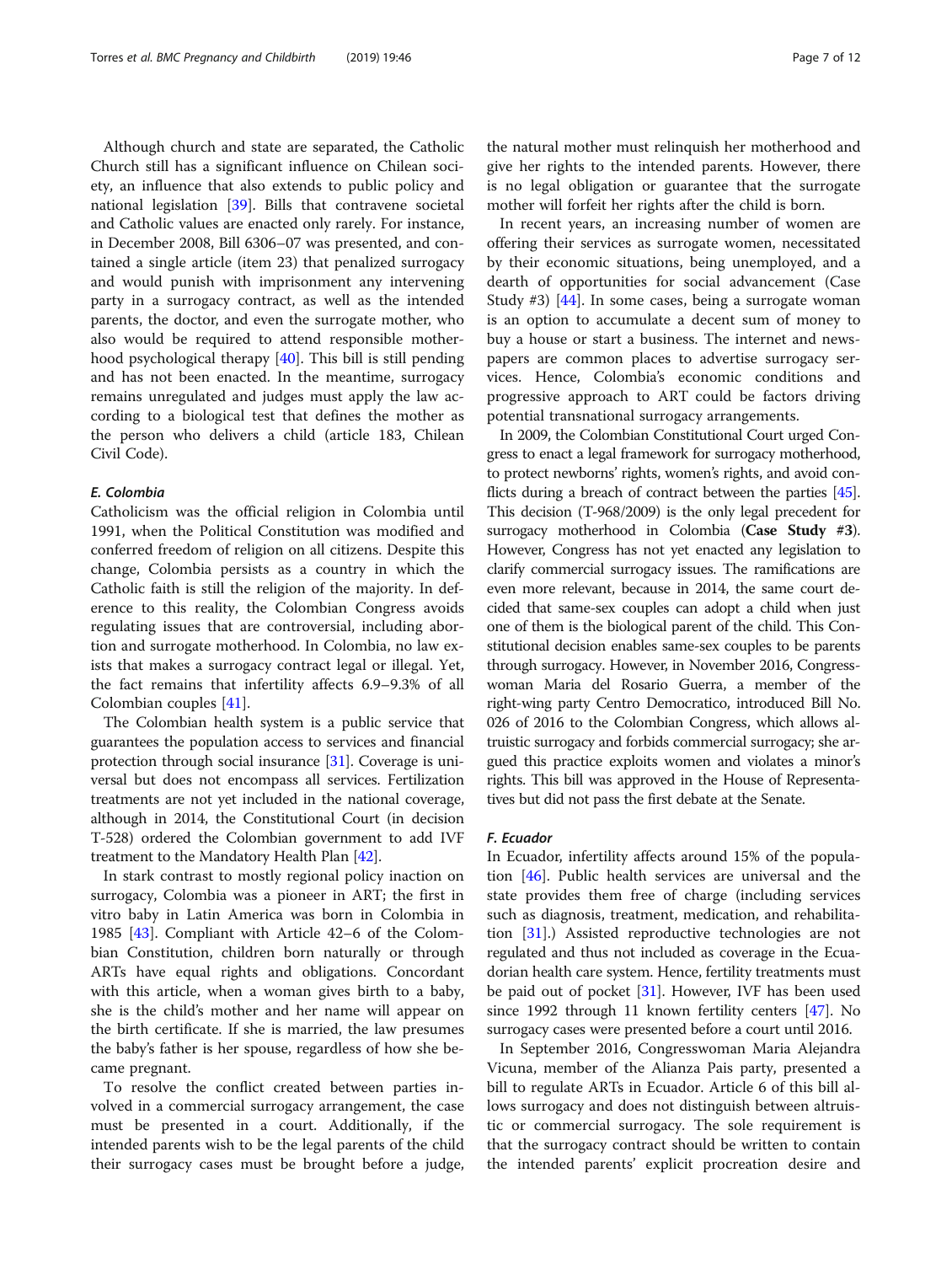Although church and state are separated, the Catholic Church still has a significant influence on Chilean society, an influence that also extends to public policy and national legislation [\[39\]](#page-10-0). Bills that contravene societal and Catholic values are enacted only rarely. For instance, in December 2008, Bill 6306–07 was presented, and contained a single article (item 23) that penalized surrogacy and would punish with imprisonment any intervening party in a surrogacy contract, as well as the intended parents, the doctor, and even the surrogate mother, who also would be required to attend responsible motherhood psychological therapy [\[40\]](#page-10-0). This bill is still pending and has not been enacted. In the meantime, surrogacy remains unregulated and judges must apply the law according to a biological test that defines the mother as the person who delivers a child (article 183, Chilean Civil Code).

### E. Colombia

Catholicism was the official religion in Colombia until 1991, when the Political Constitution was modified and conferred freedom of religion on all citizens. Despite this change, Colombia persists as a country in which the Catholic faith is still the religion of the majority. In deference to this reality, the Colombian Congress avoids regulating issues that are controversial, including abortion and surrogate motherhood. In Colombia, no law exists that makes a surrogacy contract legal or illegal. Yet, the fact remains that infertility affects 6.9–9.3% of all Colombian couples [[41](#page-10-0)].

The Colombian health system is a public service that guarantees the population access to services and financial protection through social insurance [[31](#page-10-0)]. Coverage is universal but does not encompass all services. Fertilization treatments are not yet included in the national coverage, although in 2014, the Constitutional Court (in decision T-528) ordered the Colombian government to add IVF treatment to the Mandatory Health Plan [\[42\]](#page-10-0).

In stark contrast to mostly regional policy inaction on surrogacy, Colombia was a pioneer in ART; the first in vitro baby in Latin America was born in Colombia in 1985 [[43\]](#page-10-0). Compliant with Article 42–6 of the Colombian Constitution, children born naturally or through ARTs have equal rights and obligations. Concordant with this article, when a woman gives birth to a baby, she is the child's mother and her name will appear on the birth certificate. If she is married, the law presumes the baby's father is her spouse, regardless of how she became pregnant.

To resolve the conflict created between parties involved in a commercial surrogacy arrangement, the case must be presented in a court. Additionally, if the intended parents wish to be the legal parents of the child their surrogacy cases must be brought before a judge,

the natural mother must relinquish her motherhood and give her rights to the intended parents. However, there is no legal obligation or guarantee that the surrogate mother will forfeit her rights after the child is born.

In recent years, an increasing number of women are offering their services as surrogate women, necessitated by their economic situations, being unemployed, and a dearth of opportunities for social advancement (Case Study #3) [[44\]](#page-10-0). In some cases, being a surrogate woman is an option to accumulate a decent sum of money to buy a house or start a business. The internet and newspapers are common places to advertise surrogacy services. Hence, Colombia's economic conditions and progressive approach to ART could be factors driving potential transnational surrogacy arrangements.

In 2009, the Colombian Constitutional Court urged Congress to enact a legal framework for surrogacy motherhood, to protect newborns' rights, women's rights, and avoid conflicts during a breach of contract between the parties [\[45](#page-10-0)]. This decision (T-968/2009) is the only legal precedent for surrogacy motherhood in Colombia (Case Study #3). However, Congress has not yet enacted any legislation to clarify commercial surrogacy issues. The ramifications are even more relevant, because in 2014, the same court decided that same-sex couples can adopt a child when just one of them is the biological parent of the child. This Constitutional decision enables same-sex couples to be parents through surrogacy. However, in November 2016, Congresswoman Maria del Rosario Guerra, a member of the right-wing party Centro Democratico, introduced Bill No. 026 of 2016 to the Colombian Congress, which allows altruistic surrogacy and forbids commercial surrogacy; she argued this practice exploits women and violates a minor's rights. This bill was approved in the House of Representatives but did not pass the first debate at the Senate.

### F. Ecuador

In Ecuador, infertility affects around 15% of the population [\[46\]](#page-10-0). Public health services are universal and the state provides them free of charge (including services such as diagnosis, treatment, medication, and rehabilitation [[31\]](#page-10-0).) Assisted reproductive technologies are not regulated and thus not included as coverage in the Ecuadorian health care system. Hence, fertility treatments must be paid out of pocket [\[31](#page-10-0)]. However, IVF has been used since 1992 through 11 known fertility centers [[47](#page-10-0)]. No surrogacy cases were presented before a court until 2016.

In September 2016, Congresswoman Maria Alejandra Vicuna, member of the Alianza Pais party, presented a bill to regulate ARTs in Ecuador. Article 6 of this bill allows surrogacy and does not distinguish between altruistic or commercial surrogacy. The sole requirement is that the surrogacy contract should be written to contain the intended parents' explicit procreation desire and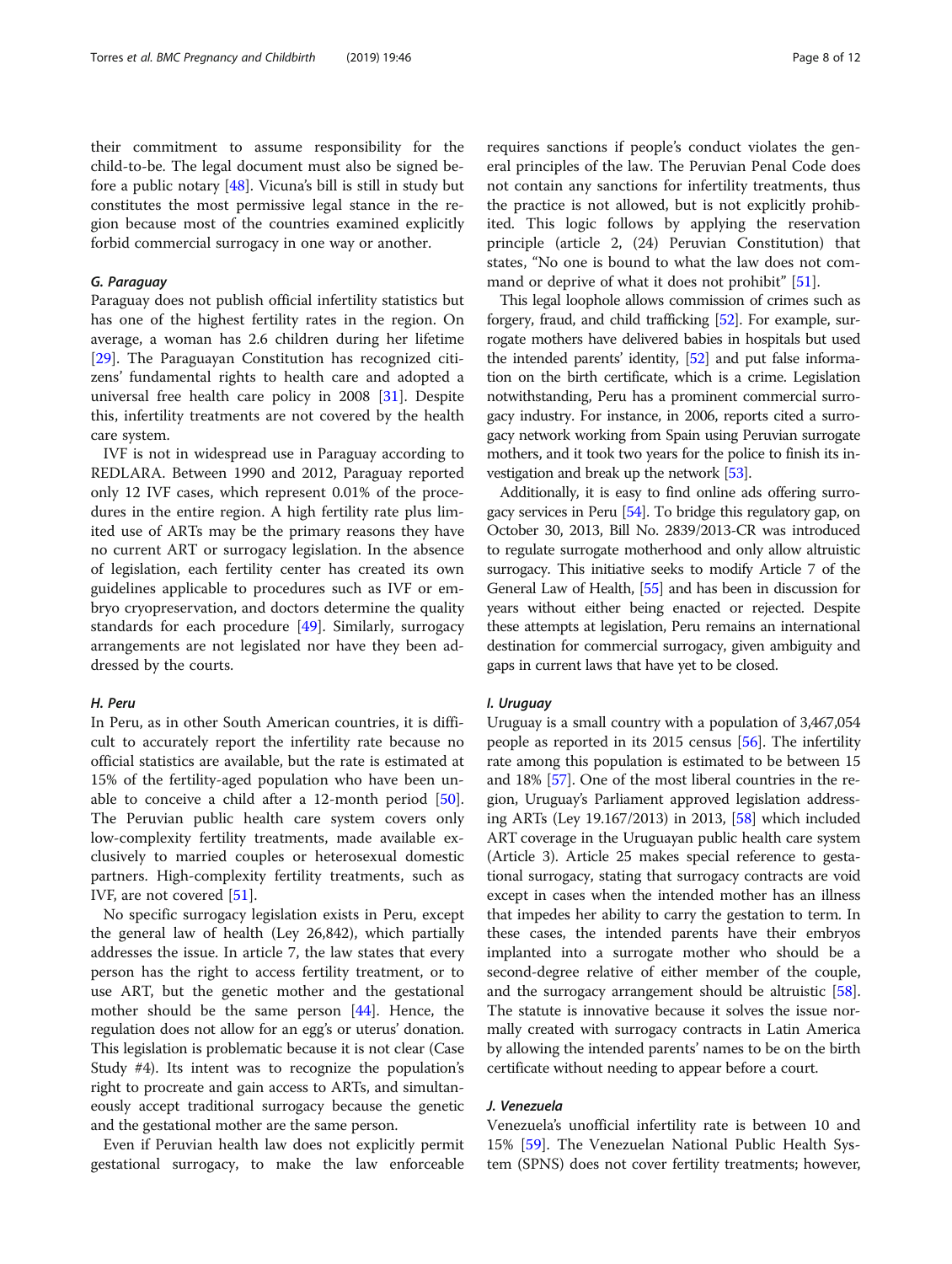their commitment to assume responsibility for the child-to-be. The legal document must also be signed before a public notary  $[48]$  $[48]$  $[48]$ . Vicuna's bill is still in study but constitutes the most permissive legal stance in the region because most of the countries examined explicitly forbid commercial surrogacy in one way or another.

# G. Paraguay

Paraguay does not publish official infertility statistics but has one of the highest fertility rates in the region. On average, a woman has 2.6 children during her lifetime [[29\]](#page-10-0). The Paraguayan Constitution has recognized citizens' fundamental rights to health care and adopted a universal free health care policy in 2008 [[31\]](#page-10-0). Despite this, infertility treatments are not covered by the health care system.

IVF is not in widespread use in Paraguay according to REDLARA. Between 1990 and 2012, Paraguay reported only 12 IVF cases, which represent 0.01% of the procedures in the entire region. A high fertility rate plus limited use of ARTs may be the primary reasons they have no current ART or surrogacy legislation. In the absence of legislation, each fertility center has created its own guidelines applicable to procedures such as IVF or embryo cryopreservation, and doctors determine the quality standards for each procedure [[49\]](#page-10-0). Similarly, surrogacy arrangements are not legislated nor have they been addressed by the courts.

### H. Peru

In Peru, as in other South American countries, it is difficult to accurately report the infertility rate because no official statistics are available, but the rate is estimated at 15% of the fertility-aged population who have been unable to conceive a child after a 12-month period [\[50](#page-10-0)]. The Peruvian public health care system covers only low-complexity fertility treatments, made available exclusively to married couples or heterosexual domestic partners. High-complexity fertility treatments, such as IVF, are not covered [[51\]](#page-10-0).

No specific surrogacy legislation exists in Peru, except the general law of health (Ley 26,842), which partially addresses the issue. In article 7, the law states that every person has the right to access fertility treatment, or to use ART, but the genetic mother and the gestational mother should be the same person [[44](#page-10-0)]. Hence, the regulation does not allow for an egg's or uterus' donation. This legislation is problematic because it is not clear (Case Study #4). Its intent was to recognize the population's right to procreate and gain access to ARTs, and simultaneously accept traditional surrogacy because the genetic and the gestational mother are the same person.

Even if Peruvian health law does not explicitly permit gestational surrogacy, to make the law enforceable requires sanctions if people's conduct violates the general principles of the law. The Peruvian Penal Code does not contain any sanctions for infertility treatments, thus the practice is not allowed, but is not explicitly prohibited. This logic follows by applying the reservation principle (article 2, (24) Peruvian Constitution) that states, "No one is bound to what the law does not com-mand or deprive of what it does not prohibit" [\[51](#page-10-0)].

This legal loophole allows commission of crimes such as forgery, fraud, and child trafficking [\[52\]](#page-10-0). For example, surrogate mothers have delivered babies in hospitals but used the intended parents' identity, [[52](#page-10-0)] and put false information on the birth certificate, which is a crime. Legislation notwithstanding, Peru has a prominent commercial surrogacy industry. For instance, in 2006, reports cited a surrogacy network working from Spain using Peruvian surrogate mothers, and it took two years for the police to finish its investigation and break up the network [\[53](#page-10-0)].

Additionally, it is easy to find online ads offering surrogacy services in Peru [\[54](#page-11-0)]. To bridge this regulatory gap, on October 30, 2013, Bill No. 2839/2013-CR was introduced to regulate surrogate motherhood and only allow altruistic surrogacy. This initiative seeks to modify Article 7 of the General Law of Health, [\[55](#page-11-0)] and has been in discussion for years without either being enacted or rejected. Despite these attempts at legislation, Peru remains an international destination for commercial surrogacy, given ambiguity and gaps in current laws that have yet to be closed.

### I. Uruguay

Uruguay is a small country with a population of 3,467,054 people as reported in its 2015 census [\[56](#page-11-0)]. The infertility rate among this population is estimated to be between 15 and 18% [\[57\]](#page-11-0). One of the most liberal countries in the region, Uruguay's Parliament approved legislation addressing ARTs (Ley 19.167/2013) in 2013, [[58](#page-11-0)] which included ART coverage in the Uruguayan public health care system (Article 3). Article 25 makes special reference to gestational surrogacy, stating that surrogacy contracts are void except in cases when the intended mother has an illness that impedes her ability to carry the gestation to term. In these cases, the intended parents have their embryos implanted into a surrogate mother who should be a second-degree relative of either member of the couple, and the surrogacy arrangement should be altruistic [[58](#page-11-0)]. The statute is innovative because it solves the issue normally created with surrogacy contracts in Latin America by allowing the intended parents' names to be on the birth certificate without needing to appear before a court.

# J. Venezuela

Venezuela's unofficial infertility rate is between 10 and 15% [[59\]](#page-11-0). The Venezuelan National Public Health System (SPNS) does not cover fertility treatments; however,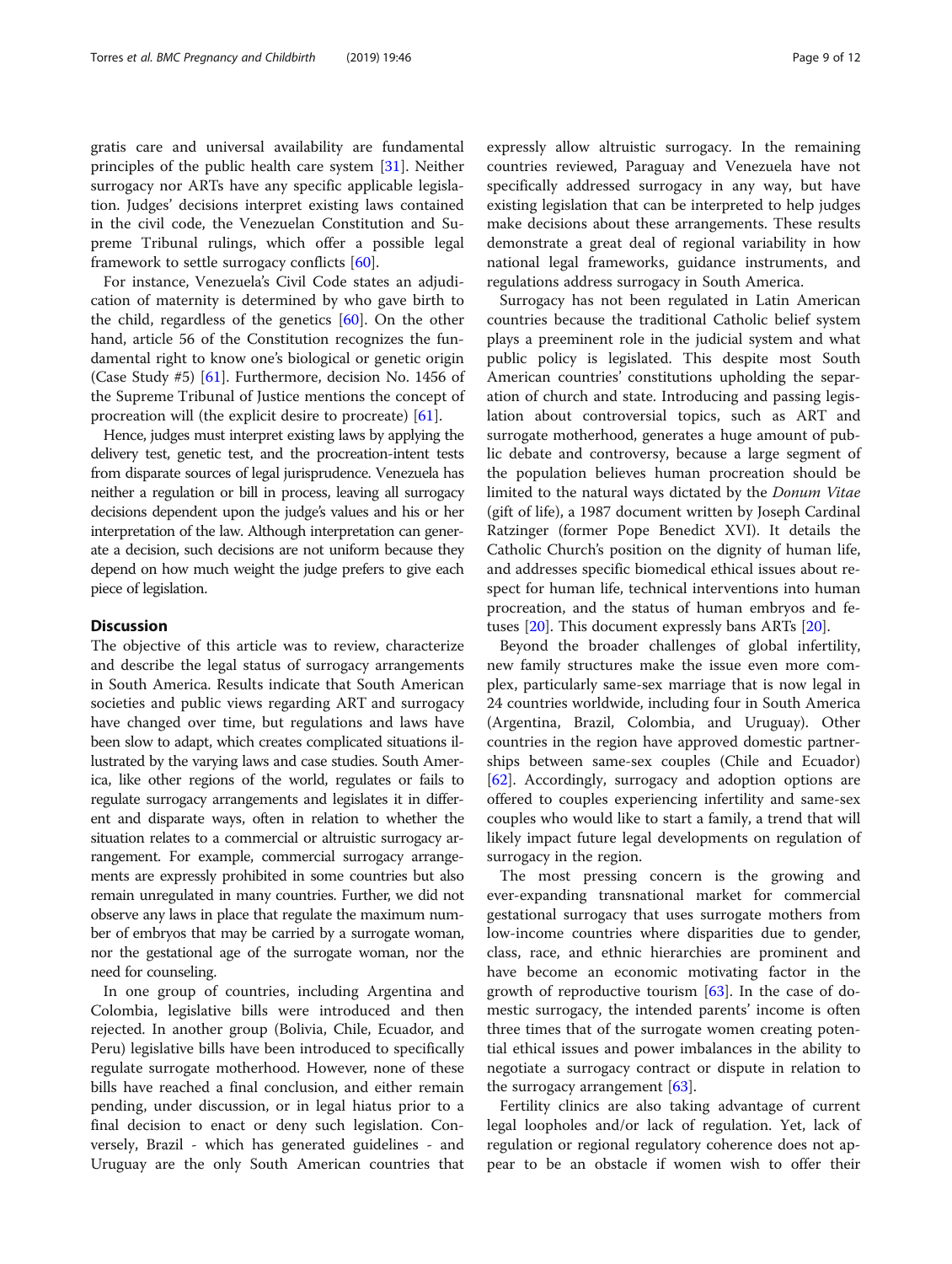gratis care and universal availability are fundamental principles of the public health care system [[31\]](#page-10-0). Neither surrogacy nor ARTs have any specific applicable legislation. Judges' decisions interpret existing laws contained in the civil code, the Venezuelan Constitution and Supreme Tribunal rulings, which offer a possible legal framework to settle surrogacy conflicts [\[60](#page-11-0)].

For instance, Venezuela's Civil Code states an adjudication of maternity is determined by who gave birth to the child, regardless of the genetics [[60\]](#page-11-0). On the other hand, article 56 of the Constitution recognizes the fundamental right to know one's biological or genetic origin (Case Study #5) [[61](#page-11-0)]. Furthermore, decision No. 1456 of the Supreme Tribunal of Justice mentions the concept of procreation will (the explicit desire to procreate) [[61\]](#page-11-0).

Hence, judges must interpret existing laws by applying the delivery test, genetic test, and the procreation-intent tests from disparate sources of legal jurisprudence. Venezuela has neither a regulation or bill in process, leaving all surrogacy decisions dependent upon the judge's values and his or her interpretation of the law. Although interpretation can generate a decision, such decisions are not uniform because they depend on how much weight the judge prefers to give each piece of legislation.

# **Discussion**

The objective of this article was to review, characterize and describe the legal status of surrogacy arrangements in South America. Results indicate that South American societies and public views regarding ART and surrogacy have changed over time, but regulations and laws have been slow to adapt, which creates complicated situations illustrated by the varying laws and case studies. South America, like other regions of the world, regulates or fails to regulate surrogacy arrangements and legislates it in different and disparate ways, often in relation to whether the situation relates to a commercial or altruistic surrogacy arrangement. For example, commercial surrogacy arrangements are expressly prohibited in some countries but also remain unregulated in many countries. Further, we did not observe any laws in place that regulate the maximum number of embryos that may be carried by a surrogate woman, nor the gestational age of the surrogate woman, nor the need for counseling.

In one group of countries, including Argentina and Colombia, legislative bills were introduced and then rejected. In another group (Bolivia, Chile, Ecuador, and Peru) legislative bills have been introduced to specifically regulate surrogate motherhood. However, none of these bills have reached a final conclusion, and either remain pending, under discussion, or in legal hiatus prior to a final decision to enact or deny such legislation. Conversely, Brazil - which has generated guidelines - and Uruguay are the only South American countries that

expressly allow altruistic surrogacy. In the remaining countries reviewed, Paraguay and Venezuela have not specifically addressed surrogacy in any way, but have existing legislation that can be interpreted to help judges make decisions about these arrangements. These results demonstrate a great deal of regional variability in how national legal frameworks, guidance instruments, and regulations address surrogacy in South America.

Surrogacy has not been regulated in Latin American countries because the traditional Catholic belief system plays a preeminent role in the judicial system and what public policy is legislated. This despite most South American countries' constitutions upholding the separation of church and state. Introducing and passing legislation about controversial topics, such as ART and surrogate motherhood, generates a huge amount of public debate and controversy, because a large segment of the population believes human procreation should be limited to the natural ways dictated by the Donum Vitae (gift of life), a 1987 document written by Joseph Cardinal Ratzinger (former Pope Benedict XVI). It details the Catholic Church's position on the dignity of human life, and addresses specific biomedical ethical issues about respect for human life, technical interventions into human procreation, and the status of human embryos and fetuses [\[20](#page-10-0)]. This document expressly bans ARTs [[20](#page-10-0)].

Beyond the broader challenges of global infertility, new family structures make the issue even more complex, particularly same-sex marriage that is now legal in 24 countries worldwide, including four in South America (Argentina, Brazil, Colombia, and Uruguay). Other countries in the region have approved domestic partnerships between same-sex couples (Chile and Ecuador) [[62\]](#page-11-0). Accordingly, surrogacy and adoption options are offered to couples experiencing infertility and same-sex couples who would like to start a family, a trend that will likely impact future legal developments on regulation of surrogacy in the region.

The most pressing concern is the growing and ever-expanding transnational market for commercial gestational surrogacy that uses surrogate mothers from low-income countries where disparities due to gender, class, race, and ethnic hierarchies are prominent and have become an economic motivating factor in the growth of reproductive tourism  $[63]$  $[63]$  $[63]$ . In the case of domestic surrogacy, the intended parents' income is often three times that of the surrogate women creating potential ethical issues and power imbalances in the ability to negotiate a surrogacy contract or dispute in relation to the surrogacy arrangement [[63\]](#page-11-0).

Fertility clinics are also taking advantage of current legal loopholes and/or lack of regulation. Yet, lack of regulation or regional regulatory coherence does not appear to be an obstacle if women wish to offer their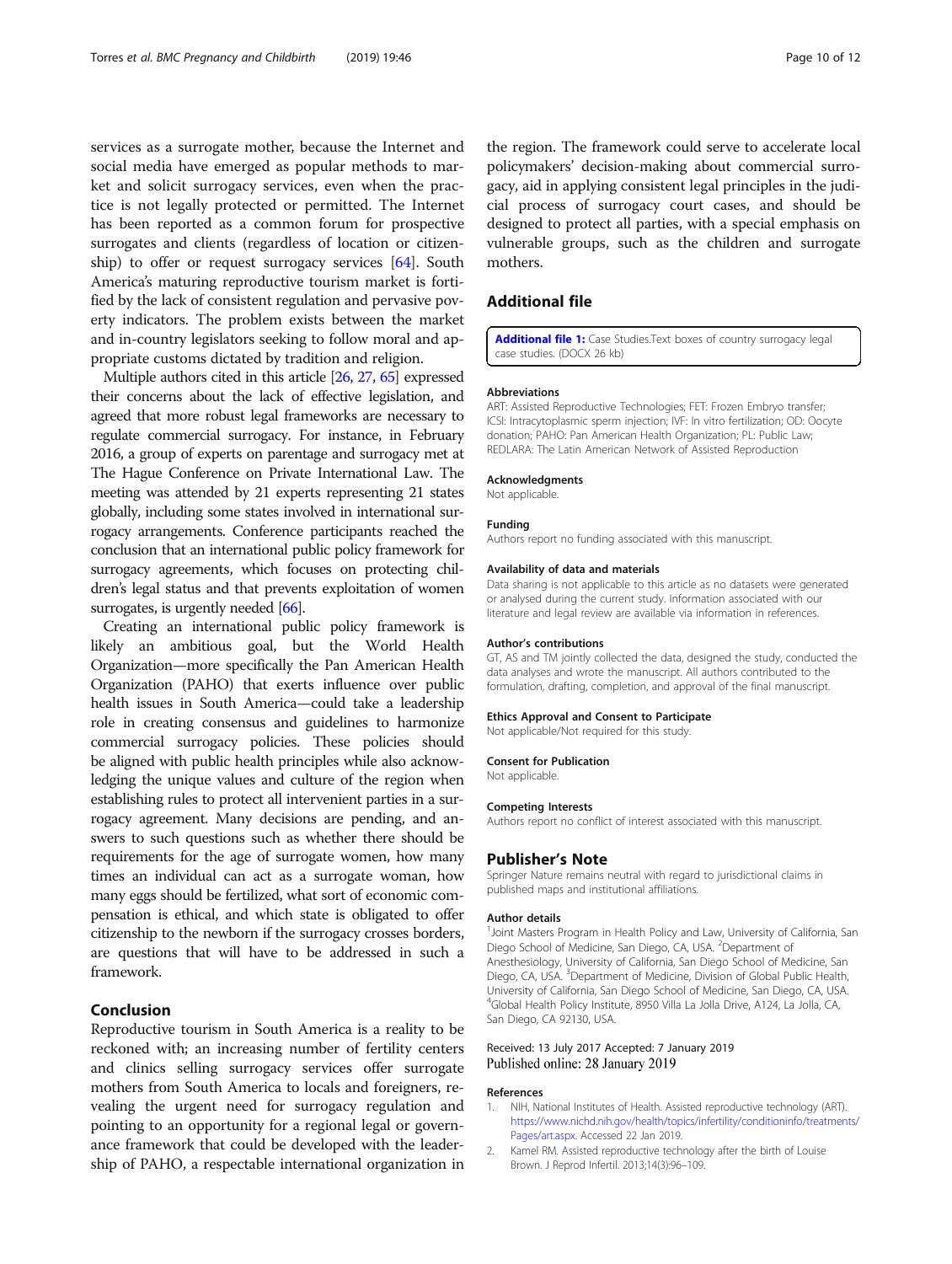<span id="page-9-0"></span>services as a surrogate mother, because the Internet and social media have emerged as popular methods to market and solicit surrogacy services, even when the practice is not legally protected or permitted. The Internet has been reported as a common forum for prospective surrogates and clients (regardless of location or citizenship) to offer or request surrogacy services [\[64](#page-11-0)]. South America's maturing reproductive tourism market is fortified by the lack of consistent regulation and pervasive poverty indicators. The problem exists between the market and in-country legislators seeking to follow moral and appropriate customs dictated by tradition and religion.

Multiple authors cited in this article [[26](#page-10-0), [27](#page-10-0), [65](#page-11-0)] expressed their concerns about the lack of effective legislation, and agreed that more robust legal frameworks are necessary to regulate commercial surrogacy. For instance, in February 2016, a group of experts on parentage and surrogacy met at The Hague Conference on Private International Law. The meeting was attended by 21 experts representing 21 states globally, including some states involved in international surrogacy arrangements. Conference participants reached the conclusion that an international public policy framework for surrogacy agreements, which focuses on protecting children's legal status and that prevents exploitation of women surrogates, is urgently needed [\[66](#page-11-0)].

Creating an international public policy framework is likely an ambitious goal, but the World Health Organization—more specifically the Pan American Health Organization (PAHO) that exerts influence over public health issues in South America—could take a leadership role in creating consensus and guidelines to harmonize commercial surrogacy policies. These policies should be aligned with public health principles while also acknowledging the unique values and culture of the region when establishing rules to protect all intervenient parties in a surrogacy agreement. Many decisions are pending, and answers to such questions such as whether there should be requirements for the age of surrogate women, how many times an individual can act as a surrogate woman, how many eggs should be fertilized, what sort of economic compensation is ethical, and which state is obligated to offer citizenship to the newborn if the surrogacy crosses borders, are questions that will have to be addressed in such a framework.

# Conclusion

Reproductive tourism in South America is a reality to be reckoned with; an increasing number of fertility centers and clinics selling surrogacy services offer surrogate mothers from South America to locals and foreigners, revealing the urgent need for surrogacy regulation and pointing to an opportunity for a regional legal or governance framework that could be developed with the leadership of PAHO, a respectable international organization in the region. The framework could serve to accelerate local policymakers' decision-making about commercial surrogacy, aid in applying consistent legal principles in the judicial process of surrogacy court cases, and should be designed to protect all parties, with a special emphasis on vulnerable groups, such as the children and surrogate mothers.

# Additional file

[Additional file 1:](https://doi.org/10.1186/s12884-019-2182-1) Case Studies.Text boxes of country surrogacy legal case studies. (DOCX 26 kb)

### Abbreviations

ART: Assisted Reproductive Technologies; FET: Frozen Embryo transfer; ICSI: Intracytoplasmic sperm injection; IVF: In vitro fertilization; OD: Oocyte donation; PAHO: Pan American Health Organization; PL: Public Law; REDLARA: The Latin American Network of Assisted Reproduction

### Acknowledgments

Not applicable.

#### Funding

Authors report no funding associated with this manuscript.

#### Availability of data and materials

Data sharing is not applicable to this article as no datasets were generated or analysed during the current study. Information associated with our literature and legal review are available via information in references.

#### Author's contributions

GT, AS and TM jointly collected the data, designed the study, conducted the data analyses and wrote the manuscript. All authors contributed to the formulation, drafting, completion, and approval of the final manuscript.

### Ethics Approval and Consent to Participate

Not applicable/Not required for this study.

#### Consent for Publication

Not applicable.

#### Competing Interests

Authors report no conflict of interest associated with this manuscript.

### Publisher's Note

Springer Nature remains neutral with regard to jurisdictional claims in published maps and institutional affiliations.

#### Author details

<sup>1</sup> Joint Masters Program in Health Policy and Law, University of California, San Diego School of Medicine, San Diego, CA, USA. <sup>2</sup>Department of Anesthesiology, University of California, San Diego School of Medicine, San Diego, CA, USA. <sup>3</sup>Department of Medicine, Division of Global Public Health University of California, San Diego School of Medicine, San Diego, CA, USA. 4 Global Health Policy Institute, 8950 Villa La Jolla Drive, A124, La Jolla, CA, San Diego, CA 92130, USA.

### Received: 13 July 2017 Accepted: 7 January 2019 Published online: 28 January 2019

#### References

- 1. NIH, National Institutes of Health. Assisted reproductive technology (ART). [https://www.nichd.nih.gov/health/topics/infertility/conditioninfo/treatments/](https://www.nichd.nih.gov/health/topics/infertility/conditioninfo/treatments/Pages/art.aspx) [Pages/art.aspx](https://www.nichd.nih.gov/health/topics/infertility/conditioninfo/treatments/Pages/art.aspx). Accessed 22 Jan 2019.
- 2. Kamel RM. Assisted reproductive technology after the birth of Louise Brown. J Reprod Infertil. 2013;14(3):96–109.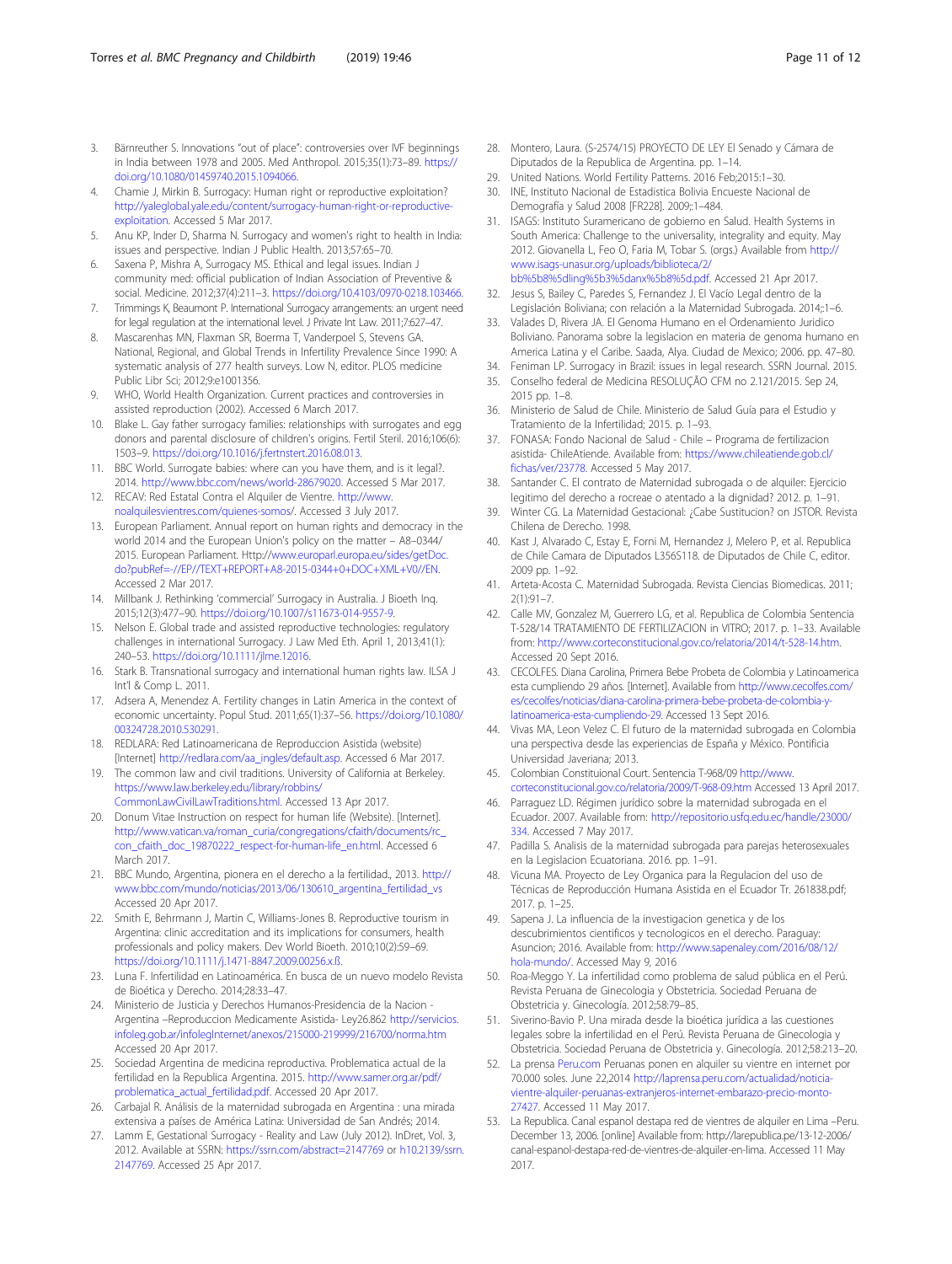- <span id="page-10-0"></span>3. Bärnreuther S. Innovations "out of place": controversies over IVF beginnings in India between 1978 and 2005. Med Anthropol. 2015;35(1):73–89. [https://](https://doi.org/10.1080/01459740.2015.1094066) [doi.org/10.1080/01459740.2015.1094066](https://doi.org/10.1080/01459740.2015.1094066).
- 4. Chamie J, Mirkin B. Surrogacy: Human right or reproductive exploitation? [http://yaleglobal.yale.edu/content/surrogacy-human-right-or-reproductive](http://yaleglobal.yale.edu/content/surrogacy-human-right-or-reproductive-exploitation)[exploitation](http://yaleglobal.yale.edu/content/surrogacy-human-right-or-reproductive-exploitation). Accessed 5 Mar 2017.
- 5. Anu KP, Inder D, Sharma N. Surrogacy and women's right to health in India: issues and perspective. Indian J Public Health. 2013;57:65–70.
- 6. Saxena P, Mishra A, Surrogacy MS. Ethical and legal issues. Indian J community med: official publication of Indian Association of Preventive & social. Medicine. 2012;37(4):211–3. <https://doi.org/10.4103/0970-0218.103466.>
- 7. Trimmings K, Beaumont P. International Surrogacy arrangements: an urgent need for legal regulation at the international level. J Private Int Law. 2011;7:627–47.
- 8. Mascarenhas MN, Flaxman SR, Boerma T, Vanderpoel S, Stevens GA. National, Regional, and Global Trends in Infertility Prevalence Since 1990: A systematic analysis of 277 health surveys. Low N, editor. PLOS medicine Public Libr Sci; 2012;9:e1001356.
- WHO, World Health Organization. Current practices and controversies in assisted reproduction (2002). Accessed 6 March 2017.
- 10. Blake L. Gay father surrogacy families: relationships with surrogates and egg donors and parental disclosure of children's origins. Fertil Steril. 2016;106(6): 1503–9. <https://doi.org/10.1016/j.fertnstert.2016.08.013>.
- 11. BBC World. Surrogate babies: where can you have them, and is it legal?. 2014. <http://www.bbc.com/news/world-28679020>. Accessed 5 Mar 2017.
- 12. RECAV: Red Estatal Contra el Alquiler de Vientre. [http://www.](http://www.noalquilesvientres.com/quienes-somos) [noalquilesvientres.com/quienes-somos/](http://www.noalquilesvientres.com/quienes-somos). Accessed 3 July 2017.
- 13. European Parliament. Annual report on human rights and democracy in the world 2014 and the European Union's policy on the matter – A8–0344/ 2015. European Parliament. Http://[www.europarl.europa.eu/sides/getDoc.](http://www.europarl.europa.eu/sides/getDoc.do?pubRef=-//EP//TEXT+REPORT+A8-2015-0344+0+DOC+XML+V0//EN) [do?pubRef=-//EP//TEXT+REPORT+A8-2015-0344+0+DOC+XML+V0//EN](http://www.europarl.europa.eu/sides/getDoc.do?pubRef=-//EP//TEXT+REPORT+A8-2015-0344+0+DOC+XML+V0//EN). Accessed 2 Mar 2017.
- 14. Millbank J. Rethinking 'commercial' Surrogacy in Australia. J Bioeth Inq. 2015;12(3):477–90. <https://doi.org/10.1007/s11673-014-9557-9>.
- 15. Nelson E. Global trade and assisted reproductive technologies: regulatory challenges in international Surrogacy. J Law Med Eth. April 1, 2013;41(1): 240–53. <https://doi.org/10.1111/jlme.12016>.
- 16. Stark B. Transnational surrogacy and international human rights law. ILSA J Int'l & Comp L. 2011.
- 17. Adsera A, Menendez A. Fertility changes in Latin America in the context of economic uncertainty. Popul Stud. 2011;65(1):37–56. [https://doi.org/10.1080/](https://doi.org/10.1080/00324728.2010.530291.) [00324728.2010.530291.](https://doi.org/10.1080/00324728.2010.530291.)
- 18. REDLARA: Red Latinoamericana de Reproduccion Asistida (website) [Internet] [http://redlara.com/aa\\_ingles/default.asp.](http://redlara.com/aa_ingles/default.asp) Accessed 6 Mar 2017.
- 19. The common law and civil traditions. University of California at Berkeley. [https://www.law.berkeley.edu/library/robbins/](https://www.law.berkeley.edu/library/robbins/CommonLawCivilLawTraditions.html)
- [CommonLawCivilLawTraditions.html](https://www.law.berkeley.edu/library/robbins/CommonLawCivilLawTraditions.html). Accessed 13 Apr 2017. 20. Donum Vitae Instruction on respect for human life (Website). [Internet]. [http://www.vatican.va/roman\\_curia/congregations/cfaith/documents/rc\\_](http://www.vatican.va/roman_curia/congregations/cfaith/documents/rc_con_cfaith_doc_19870222_respect-for-human-life_en.html) [con\\_cfaith\\_doc\\_19870222\\_respect-for-human-life\\_en.html](http://www.vatican.va/roman_curia/congregations/cfaith/documents/rc_con_cfaith_doc_19870222_respect-for-human-life_en.html). Accessed 6 March 2017
- 21. BBC Mundo, Argentina, pionera en el derecho a la fertilidad., 2013. [http://](http://www.bbc.com/mundo/noticias/2013/06/130610_argentina_fertilidad_vs) [www.bbc.com/mundo/noticias/2013/06/130610\\_argentina\\_fertilidad\\_vs](http://www.bbc.com/mundo/noticias/2013/06/130610_argentina_fertilidad_vs) Accessed 20 Apr 2017.
- 22. Smith E, Behrmann J, Martin C, Williams-Jones B. Reproductive tourism in Argentina: clinic accreditation and its implications for consumers, health professionals and policy makers. Dev World Bioeth. 2010;10(2):59–69. [https://doi.org/10.1111/j.1471-8847.2009.00256.x.ß](https://doi.org/10.1111/j.1471-8847.2009.00256.x.�).
- 23. Luna F. Infertilidad en Latinoamérica. En busca de un nuevo modelo Revista de Bioética y Derecho. 2014;28:33–47.
- 24. Ministerio de Justicia y Derechos Humanos-Presidencia de la Nacion Argentina –Reproduccion Medicamente Asistida- Ley26.862 [http://servicios.](http://servicios.infoleg.gob.ar/infolegInternet/anexos/215000-219999/216700/norma.htm) [infoleg.gob.ar/infolegInternet/anexos/215000-219999/216700/norma.htm](http://servicios.infoleg.gob.ar/infolegInternet/anexos/215000-219999/216700/norma.htm) Accessed 20 Apr 2017.
- 25. Sociedad Argentina de medicina reproductiva. Problematica actual de la fertilidad en la Republica Argentina. 2015. [http://www.samer.org.ar/pdf/](http://www.samer.org.ar/pdf/problematica_actual_fertilidad.pdf) [problematica\\_actual\\_fertilidad.pdf.](http://www.samer.org.ar/pdf/problematica_actual_fertilidad.pdf) Accessed 20 Apr 2017.
- 26. Carbajal R. Análisis de la maternidad subrogada en Argentina : una mirada extensiva a países de América Latina: Universidad de San Andrés; 2014.
- 27. Lamm E, Gestational Surrogacy Reality and Law (July 2012). InDret, Vol. 3, 2012. Available at SSRN: <https://ssrn.com/abstract=2147769> or [h10.2139/ssrn.](http://dx.doi.org/10.2139/ssrn.2147769) [2147769.](http://dx.doi.org/10.2139/ssrn.2147769) Accessed 25 Apr 2017.
- 28. Montero, Laura. (S-2574/15) PROYECTO DE LEY El Senado y Cámara de Diputados de la Republica de Argentina. pp. 1–14.
- 29. United Nations. World Fertility Patterns. 2016 Feb;2015:1–30.
- 30. INE, Instituto Nacional de Estadistica Bolivia Encueste Nacional de Demografía y Salud 2008 [FR228]. 2009;:1–484.
- 31. ISAGS: Instituto Suramericano de gobierno en Salud. Health Systems in South America: Challenge to the universality, integrality and equity. May 2012. Giovanella L, Feo O, Faria M, Tobar S. (orgs.) Available from [http://](http://www.isags-unasur.org/uploads/biblioteca/2/bb%5b8%5dling%5b3%5danx%5b8%5d.pdf) [www.isags-unasur.org/uploads/biblioteca/2/](http://www.isags-unasur.org/uploads/biblioteca/2/bb%5b8%5dling%5b3%5danx%5b8%5d.pdf) [bb%5b8%5dling%5b3%5danx%5b8%5d.pdf.](http://www.isags-unasur.org/uploads/biblioteca/2/bb%5b8%5dling%5b3%5danx%5b8%5d.pdf) Accessed 21 Apr 2017.
- 32. Jesus S, Bailey C, Paredes S, Fernandez J. El Vacío Legal dentro de la Legislación Boliviana; con relación a la Maternidad Subrogada. 2014;:1-6.
- 33. Valades D, Rivera JA. El Genoma Humano en el Ordenamiento Juridico Boliviano. Panorama sobre la legislacion en materia de genoma humano en America Latina y el Caribe. Saada, Alya. Ciudad de Mexico; 2006. pp. 47–80.
- 34. Feniman LP. Surrogacy in Brazil: issues in legal research. SSRN Journal. 2015.
- 35. Conselho federal de Medicina RESOLUÇÃO CFM no 2.121/2015. Sep 24, 2015 pp. 1–8.
- 36. Ministerio de Salud de Chile. Ministerio de Salud Guía para el Estudio y Tratamiento de la Infertilidad; 2015. p. 1–93.
- 37. FONASA: Fondo Nacional de Salud Chile Programa de fertilizacion asistida- ChileAtiende. Available from: [https://www.chileatiende.gob.cl/](https://www.chileatiende.gob.cl/fichas/ver/23778) [fichas/ver/23778](https://www.chileatiende.gob.cl/fichas/ver/23778). Accessed 5 May 2017.
- 38. Santander C. El contrato de Maternidad subrogada o de alquiler: Ejercicio legitimo del derecho a rocreae o atentado a la dignidad? 2012. p. 1–91.
- 39. Winter CG. La Maternidad Gestacional: ¿Cabe Sustitucion? on JSTOR. Revista Chilena de Derecho. 1998.
- 40. Kast J, Alvarado C, Estay E, Forni M, Hernandez J, Melero P, et al. Republica de Chile Camara de Diputados L356S118. de Diputados de Chile C, editor. 2009 pp. 1–92.
- 41. Arteta-Acosta C. Maternidad Subrogada. Revista Ciencias Biomedicas. 2011;  $2(1)$  $-91-7$
- 42. Calle MV, Gonzalez M, Guerrero LG, et al. Republica de Colombia Sentencia T-528/14 TRATAMIENTO DE FERTILIZACION in VITRO; 2017. p. 1–33. Available from: <http://www.corteconstitucional.gov.co/relatoria/2014/t-528-14.htm>. Accessed 20 Sept 2016.
- 43. CECOLFES. Diana Carolina, Primera Bebe Probeta de Colombia y Latinoamerica esta cumpliendo 29 años. [Internet]. Available from [http://www.cecolfes.com/](http://www.cecolfes.com/es/cecolfes/noticias/diana-carolina-primera-bebe-probeta-de-colombia-y-latinoamerica-esta-cumpliendo-29) [es/cecolfes/noticias/diana-carolina-primera-bebe-probeta-de-colombia-y](http://www.cecolfes.com/es/cecolfes/noticias/diana-carolina-primera-bebe-probeta-de-colombia-y-latinoamerica-esta-cumpliendo-29)[latinoamerica-esta-cumpliendo-29.](http://www.cecolfes.com/es/cecolfes/noticias/diana-carolina-primera-bebe-probeta-de-colombia-y-latinoamerica-esta-cumpliendo-29) Accessed 13 Sept 2016.
- 44. Vivas MA, Leon Velez C. El futuro de la maternidad subrogada en Colombia una perspectiva desde las experiencias de España y México. Pontificia Universidad Javeriana; 2013.
- 45. Colombian Constituional Court. Sentencia T-968/09 [http://www.](http://www.corteconstitucional.gov.co/relatoria/2009/T-968-09.htm) [corteconstitucional.gov.co/relatoria/2009/T-968-09.htm](http://www.corteconstitucional.gov.co/relatoria/2009/T-968-09.htm) Accessed 13 April 2017.
- 46. Parraguez LD. Régimen jurídico sobre la maternidad subrogada en el Ecuador. 2007. Available from: [http://repositorio.usfq.edu.ec/handle/23000/](http://repositorio.usfq.edu.ec/handle/23000/334) [334.](http://repositorio.usfq.edu.ec/handle/23000/334) Accessed 7 May 2017.
- 47. Padilla S. Analisis de la maternidad subrogada para parejas heterosexuales en la Legislacion Ecuatoriana. 2016. pp. 1–91.
- 48. Vicuna MA. Proyecto de Ley Organica para la Regulacion del uso de Técnicas de Reproducción Humana Asistida en el Ecuador Tr. 261838.pdf; 2017. p. 1–25.
- 49. Sapena J. La influencia de la investigacion genetica y de los descubrimientos cientificos y tecnologicos en el derecho. Paraguay: Asuncion; 2016. Available from: [http://www.sapenaley.com/2016/08/12/](http://www.sapenaley.com/2016/08/12/hola-mundo/) [hola-mundo/](http://www.sapenaley.com/2016/08/12/hola-mundo/). Accessed May 9, 2016
- 50. Roa-Meggo Y. La infertilidad como problema de salud pública en el Perú. Revista Peruana de Ginecologia y Obstetricia. Sociedad Peruana de Obstetricia y. Ginecología. 2012;58:79–85.
- 51. Siverino-Bavio P. Una mirada desde la bioética jurídica a las cuestiones legales sobre la infertilidad en el Perú. Revista Peruana de Ginecologia y Obstetricia. Sociedad Peruana de Obstetricia y. Ginecología. 2012;58:213–20.
- 52. La prensa [Peru.com](http://peru.com) Peruanas ponen en alquiler su vientre en internet por 70.000 soles. June 22,2014 [http://laprensa.peru.com/actualidad/noticia](http://laprensa.peru.com/actualidad/noticia-vientre-alquiler-peruanas-extranjeros-internet-embarazo-precio-monto-27427)[vientre-alquiler-peruanas-extranjeros-internet-embarazo-precio-monto-](http://laprensa.peru.com/actualidad/noticia-vientre-alquiler-peruanas-extranjeros-internet-embarazo-precio-monto-27427)[27427.](http://laprensa.peru.com/actualidad/noticia-vientre-alquiler-peruanas-extranjeros-internet-embarazo-precio-monto-27427) Accessed 11 May 2017.
- 53. La Republica. Canal espanol destapa red de vientres de alquiler en Lima –Peru. December 13, 2006. [online] Available from: http://larepublica.pe/13-12-2006/ canal-espanol-destapa-red-de-vientres-de-alquiler-en-lima. Accessed 11 May 2017.